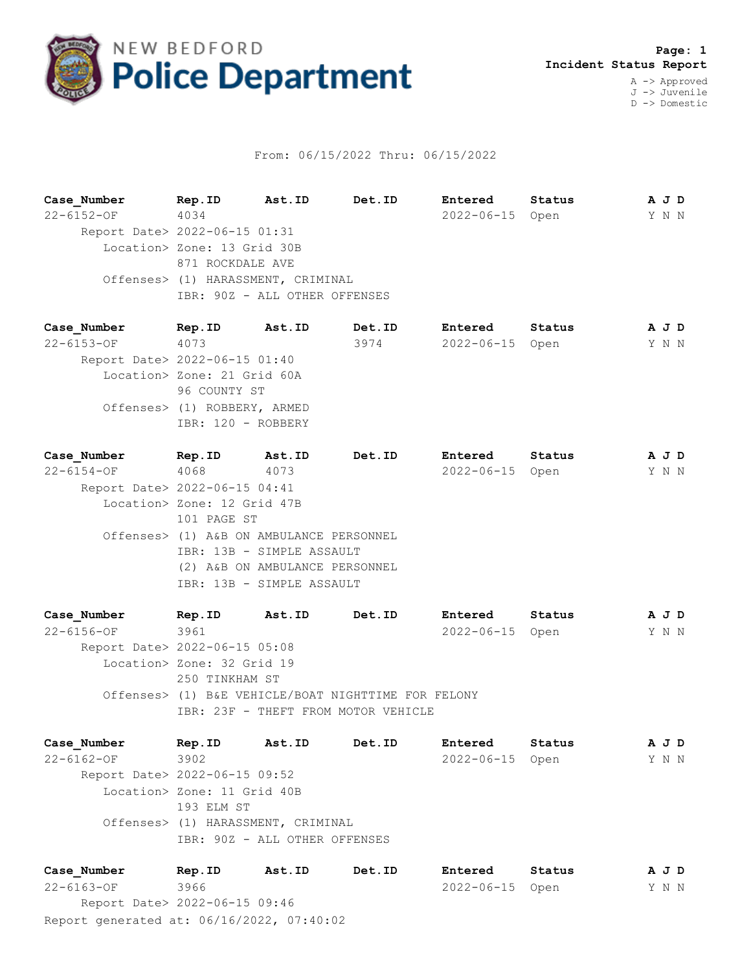

## From: 06/15/2022 Thru: 06/15/2022

|  | Case Number                   | Rep.ID                             | Ast.ID | Det.ID | Entered    | Status |  | A J D |  |  |
|--|-------------------------------|------------------------------------|--------|--------|------------|--------|--|-------|--|--|
|  | $22 - 6152 - 0F$              | 4034                               |        |        | 2022-06-15 | Open   |  | Y N N |  |  |
|  | Report Date> 2022-06-15 01:31 |                                    |        |        |            |        |  |       |  |  |
|  |                               | Location> Zone: 13 Grid 30B        |        |        |            |        |  |       |  |  |
|  |                               | 871 ROCKDALE AVE                   |        |        |            |        |  |       |  |  |
|  |                               | Offenses> (1) HARASSMENT, CRIMINAL |        |        |            |        |  |       |  |  |
|  |                               | IBR: 90Z - ALL OTHER OFFENSES      |        |        |            |        |  |       |  |  |
|  |                               |                                    |        |        |            |        |  |       |  |  |
|  | Case Number                   | Rep.ID                             | Ast.ID | Det.ID | Entered    | Status |  | A J D |  |  |

22-6153-OF 4073 3974 2022-06-15 Open Y N N Report Date> 2022-06-15 01:40 Location> Zone: 21 Grid 60A 96 COUNTY ST Offenses> (1) ROBBERY, ARMED IBR: 120 - ROBBERY

**Case\_Number Rep.ID Ast.ID Det.ID Entered Status A J D** 22-6154-OF 4068 4073 2022-06-15 Open Y N N Report Date> 2022-06-15 04:41 Location> Zone: 12 Grid 47B 101 PAGE ST Offenses> (1) A&B ON AMBULANCE PERSONNEL IBR: 13B - SIMPLE ASSAULT (2) A&B ON AMBULANCE PERSONNEL IBR: 13B - SIMPLE ASSAULT

**Case\_Number Rep.ID Ast.ID Det.ID Entered Status A J D** 22-6156-OF 3961 2022-06-15 Open Y N N Report Date> 2022-06-15 05:08 Location> Zone: 32 Grid 19 250 TINKHAM ST Offenses> (1) B&E VEHICLE/BOAT NIGHTTIME FOR FELONY IBR: 23F - THEFT FROM MOTOR VEHICLE

**Case\_Number Rep.ID Ast.ID Det.ID Entered Status A J D** 22-6162-OF 3902 2022-06-15 Open Y N N Report Date> 2022-06-15 09:52 Location> Zone: 11 Grid 40B 193 ELM ST Offenses> (1) HARASSMENT, CRIMINAL IBR: 90Z - ALL OTHER OFFENSES

Report generated at: 06/16/2022, 07:40:02 **Case\_Number Rep.ID Ast.ID Det.ID Entered Status A J D** 22-6163-OF 3966 2022-06-15 Open Y N N Report Date> 2022-06-15 09:46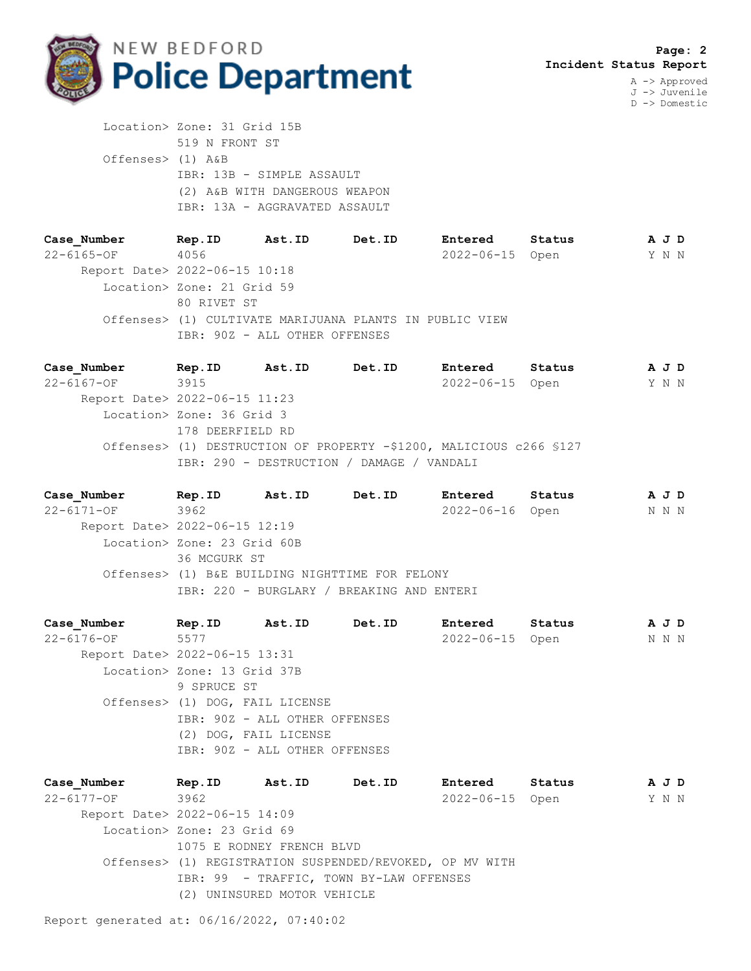

J -> Juvenile D -> Domestic

 Location> Zone: 31 Grid 15B 519 N FRONT ST Offenses> (1) A&B IBR: 13B - SIMPLE ASSAULT (2) A&B WITH DANGEROUS WEAPON IBR: 13A - AGGRAVATED ASSAULT

**Case\_Number Rep.ID Ast.ID Det.ID Entered Status A J D** 22-6165-OF 4056 2022-06-15 Open Y N N Report Date> 2022-06-15 10:18 Location> Zone: 21 Grid 59 80 RIVET ST Offenses> (1) CULTIVATE MARIJUANA PLANTS IN PUBLIC VIEW IBR: 90Z - ALL OTHER OFFENSES

**Case\_Number Rep.ID Ast.ID Det.ID Entered Status A J D** 22-6167-OF 3915 2022-06-15 Open Y N N Report Date> 2022-06-15 11:23 Location> Zone: 36 Grid 3 178 DEERFIELD RD Offenses> (1) DESTRUCTION OF PROPERTY -\$1200, MALICIOUS c266 §127 IBR: 290 - DESTRUCTION / DAMAGE / VANDALI

**Case\_Number Rep.ID Ast.ID Det.ID Entered Status A J D** 22-6171-OF 3962 2022-06-16 Open N N N Report Date> 2022-06-15 12:19 Location> Zone: 23 Grid 60B 36 MCGURK ST Offenses> (1) B&E BUILDING NIGHTTIME FOR FELONY IBR: 220 - BURGLARY / BREAKING AND ENTERI

**Case\_Number Rep.ID Ast.ID Det.ID Entered Status A J D** 22-6176-OF 5577 2022-06-15 Open N N N Report Date> 2022-06-15 13:31 Location> Zone: 13 Grid 37B 9 SPRUCE ST Offenses> (1) DOG, FAIL LICENSE IBR: 90Z - ALL OTHER OFFENSES (2) DOG, FAIL LICENSE IBR: 90Z - ALL OTHER OFFENSES

**Case\_Number Rep.ID Ast.ID Det.ID Entered Status A J D** 22-6177-OF 3962 2022-06-15 Open Y N N Report Date> 2022-06-15 14:09 Location> Zone: 23 Grid 69 1075 E RODNEY FRENCH BLVD Offenses> (1) REGISTRATION SUSPENDED/REVOKED, OP MV WITH IBR: 99 - TRAFFIC, TOWN BY-LAW OFFENSES (2) UNINSURED MOTOR VEHICLE